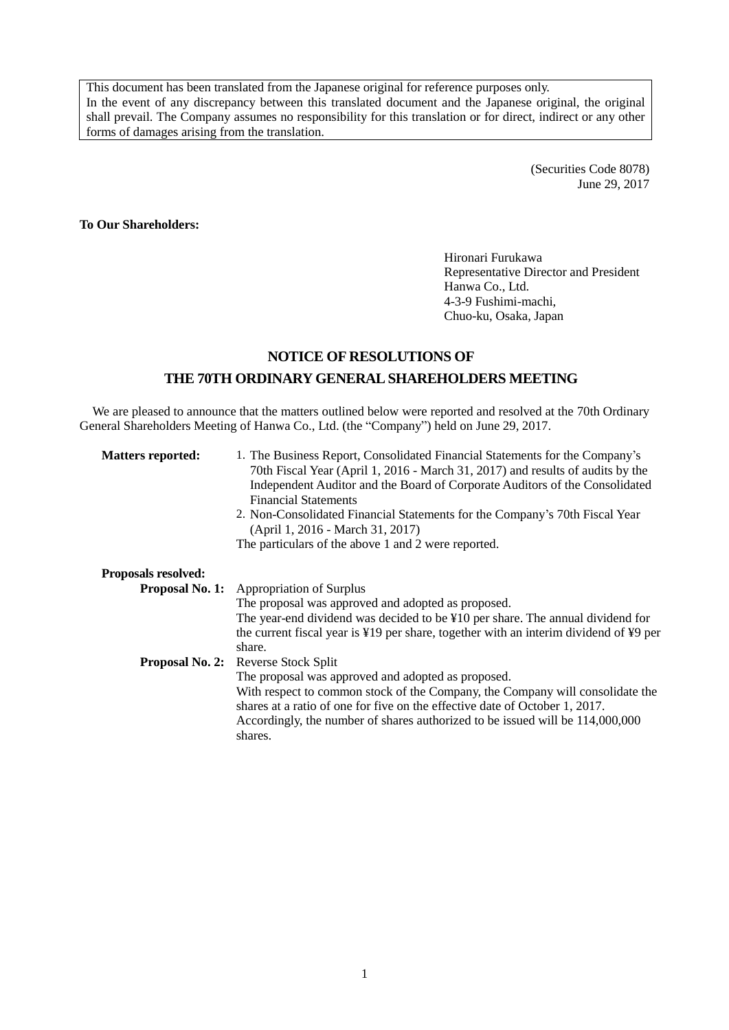This document has been translated from the Japanese original for reference purposes only. In the event of any discrepancy between this translated document and the Japanese original, the original shall prevail. The Company assumes no responsibility for this translation or for direct, indirect or any other forms of damages arising from the translation.

> (Securities Code 8078) June 29, 2017

## **To Our Shareholders:**

Hironari Furukawa Representative Director and President Hanwa Co., Ltd. 4-3-9 Fushimi-machi, Chuo-ku, Osaka, Japan

# **NOTICE OF RESOLUTIONS OF THE 70TH ORDINARY GENERALSHAREHOLDERS MEETING**

We are pleased to announce that the matters outlined below were reported and resolved at the 70th Ordinary General Shareholders Meeting of Hanwa Co., Ltd. (the "Company") held on June 29, 2017.

| <b>Matters reported:</b>   | 1. The Business Report, Consolidated Financial Statements for the Company's<br>70th Fiscal Year (April 1, 2016 - March 31, 2017) and results of audits by the<br>Independent Auditor and the Board of Corporate Auditors of the Consolidated<br><b>Financial Statements</b><br>2. Non-Consolidated Financial Statements for the Company's 70th Fiscal Year<br>(April 1, 2016 - March 31, 2017)<br>The particulars of the above 1 and 2 were reported. |  |
|----------------------------|-------------------------------------------------------------------------------------------------------------------------------------------------------------------------------------------------------------------------------------------------------------------------------------------------------------------------------------------------------------------------------------------------------------------------------------------------------|--|
| <b>Proposals resolved:</b> |                                                                                                                                                                                                                                                                                                                                                                                                                                                       |  |
|                            | <b>Proposal No. 1:</b> Appropriation of Surplus                                                                                                                                                                                                                                                                                                                                                                                                       |  |
|                            | The proposal was approved and adopted as proposed.                                                                                                                                                                                                                                                                                                                                                                                                    |  |
|                            | The year-end dividend was decided to be $\frac{1}{2}10$ per share. The annual dividend for<br>the current fiscal year is ¥19 per share, together with an interim dividend of ¥9 per<br>share.                                                                                                                                                                                                                                                         |  |
|                            | <b>Proposal No. 2:</b> Reverse Stock Split                                                                                                                                                                                                                                                                                                                                                                                                            |  |
|                            | The proposal was approved and adopted as proposed.                                                                                                                                                                                                                                                                                                                                                                                                    |  |
|                            | With respect to common stock of the Company, the Company will consolidate the<br>shares at a ratio of one for five on the effective date of October 1, 2017.<br>Accordingly, the number of shares authorized to be issued will be 114,000,000<br>shares.                                                                                                                                                                                              |  |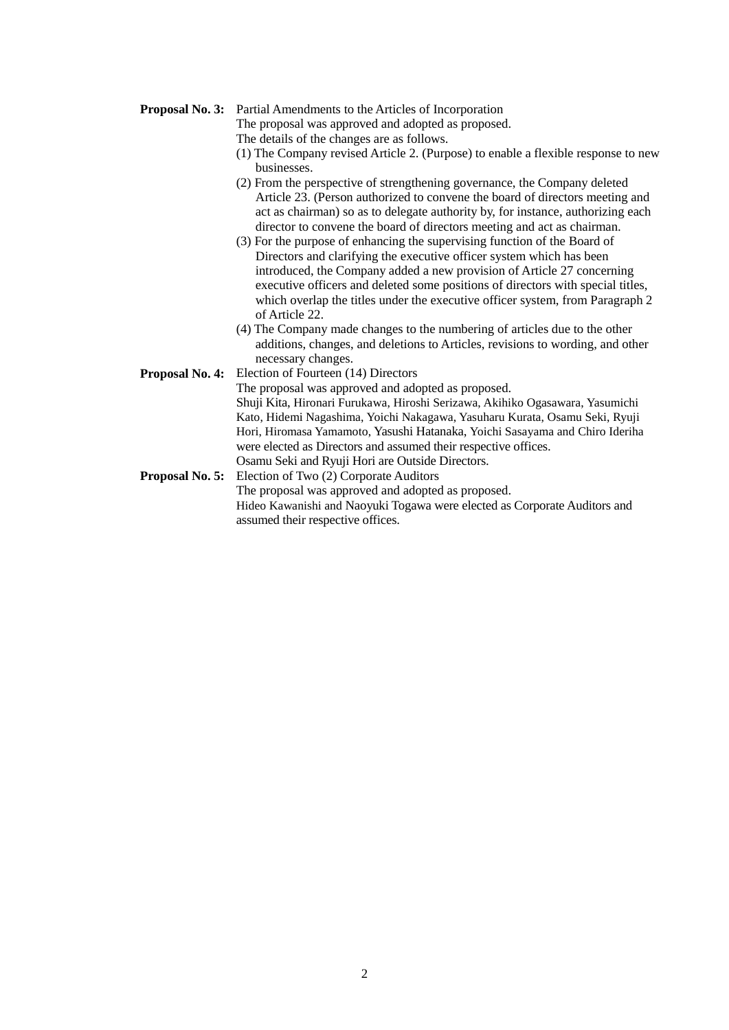### **Proposal No. 3:** Partial Amendments to the Articles of Incorporation

The proposal was approved and adopted as proposed.

- The details of the changes are as follows.
- (1) The Company revised Article 2. (Purpose) to enable a flexible response to new businesses.
- (2) From the perspective of strengthening governance, the Company deleted Article 23. (Person authorized to convene the board of directors meeting and act as chairman) so as to delegate authority by, for instance, authorizing each director to convene the board of directors meeting and act as chairman.
- (3) For the purpose of enhancing the supervising function of the Board of Directors and clarifying the executive officer system which has been introduced, the Company added a new provision of Article 27 concerning executive officers and deleted some positions of directors with special titles, which overlap the titles under the executive officer system, from Paragraph 2 of Article 22.
- (4) The Company made changes to the numbering of articles due to the other additions, changes, and deletions to Articles, revisions to wording, and other necessary changes.
- **Proposal No. 4:** Election of Fourteen (14) Directors

The proposal was approved and adopted as proposed. Shuji Kita, Hironari Furukawa, Hiroshi Serizawa, Akihiko Ogasawara, Yasumichi Kato, Hidemi Nagashima, Yoichi Nakagawa, Yasuharu Kurata, Osamu Seki, Ryuji Hori, Hiromasa Yamamoto, Yasushi Hatanaka, Yoichi Sasayama and Chiro Ideriha were elected as Directors and assumed their respective offices. Osamu Seki and Ryuji Hori are Outside Directors.

**Proposal No. 5:** Election of Two (2) Corporate Auditors The proposal was approved and adopted as proposed. Hideo Kawanishi and Naoyuki Togawa were elected as Corporate Auditors and assumed their respective offices.